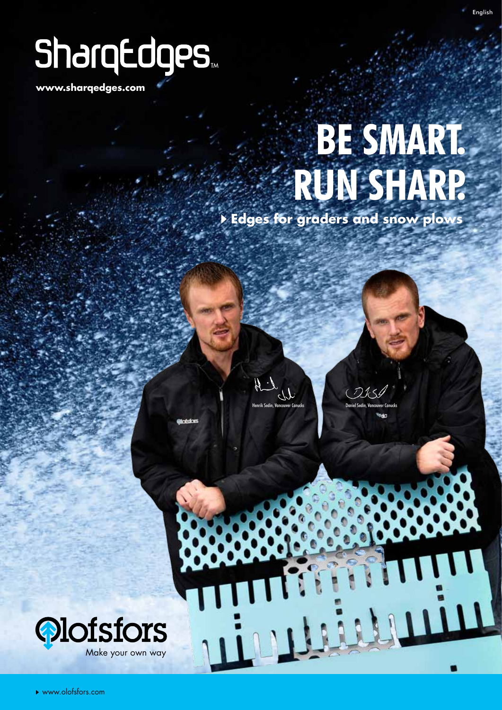# SharqEdges

**www.sharqedges.com**

# **BE SMART. RUN SHARP.**

 **Edges for graders and snow plows**

 $H_{L}$ 

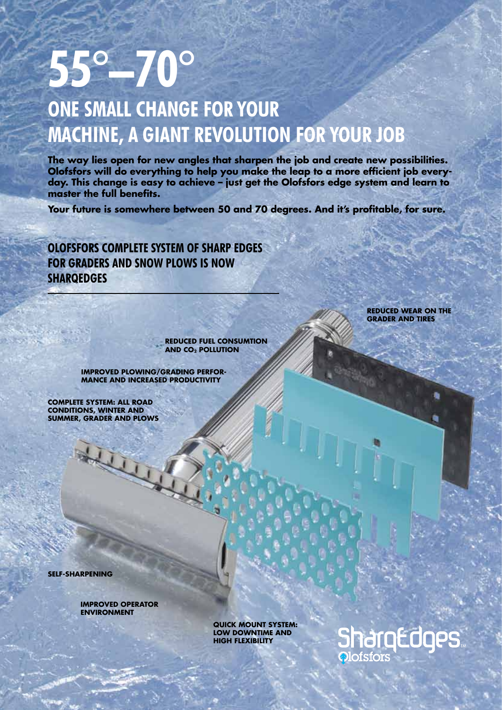# **55°–70°**

# **One small change for your machine, a giant revolution for your job**

**The way lies open for new angles that sharpen the job and create new possibilities. Olofsfors will do everything to help you make the leap to a more efficient job everyday. This change is easy to achieve – just get the Olofsfors edge system and learn to master the full benefits.**

**Your future is somewhere between 50 and 70 degrees. And it's profitable, for sure.**

**Olofsfors complete system of sharp edges for graders and snow plows is now sharqedges**

> **Reduced fuel consumtion and CO2 pollution**

**Improved plowing/grading performance and increased productivity**

**Complete system: all road conditions, winter and summer, grader and plows**

KLI

**Reduced wear on the grader and tires**

**Self-sharpening**

**Improved operator environment**

> **Quick Mount System: low downtime and high flexibility**

# **SharqEdges Olofsfors**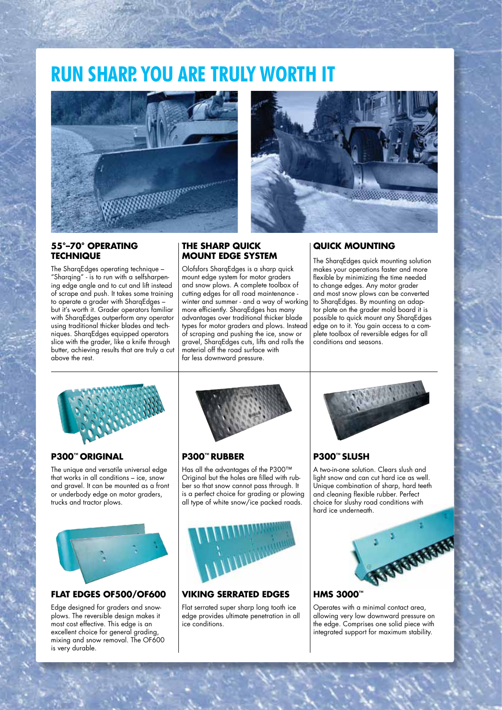# **RUN sharp. You are truly worth it**





### **55°–70° OPERATING technique**

The SharqEdges operating technique – "Sharaing" - is to run with a selfsharpening edge angle and to cut and lift instead of scrape and push. It takes some training to operate a grader with SharqEdges – but it's worth it. Grader operators familiar with SharqEdges outperform any operator using traditional thicker blades and techniques. SharqEdges equipped operators slice with the grader, like a knife through butter, achieving results that are truly a cut above the rest.

### **The Sharp Quick Mount Edge System**

Olofsfors SharqEdges is a sharp quick mount edge system for motor graders and snow plows. A complete toolbox of cutting edges for all road maintenance winter and summer - and a way of working more efficiently. SharqEdges has many advantages over traditional thicker blade types for motor graders and plows. Instead of scraping and pushing the ice, snow or gravel, SharqEdges cuts, lifts and rolls the material off the road surface with far less downward pressure.

### **Quick MOUNTING**

The SharqEdges quick mounting solution makes your operations faster and more flexible by minimizing the time needed to change edges. Any motor grader and most snow plows can be converted to SharqEdges. By mounting an adaptor plate on the grader mold board it is possible to quick mount any SharqEdges edge on to it. You gain access to a complete toolbox of reversible edges for all conditions and seasons.

### **P300™ Original**

The unique and versatile universal edge that works in all conditions – ice, snow and gravel. It can be mounted as a front or underbody edge on motor graders, trucks and tractor plows.



# **Flat Edges OF500/OF600**

Edge designed for graders and snowplows. The reversible design makes it most cost effective. This edge is an excellent choice for general grading, mixing and snow removal. The OF600 is very durable.



# **P300™ rubber**

Has all the advantages of the P300™ Original but the holes are filled with rubber so that snow cannot pass through. It is a perfect choice for grading or plowing all type of white snow/ice packed roads.



### **Viking serrated edges**

Flat serrated super sharp long tooth ice edge provides ultimate penetration in all ice conditions.



# **P300™ slush**

A two-in-one solution. Clears slush and light snow and can cut hard ice as well. Unique combination of sharp, hard teeth and cleaning flexible rubber. Perfect choice for slushy road conditions with hard ice underneath.



# **HMS 3000™**

Operates with a minimal contact area, allowing very low downward pressure on the edge. Comprises one solid piece with integrated support for maximum stability.